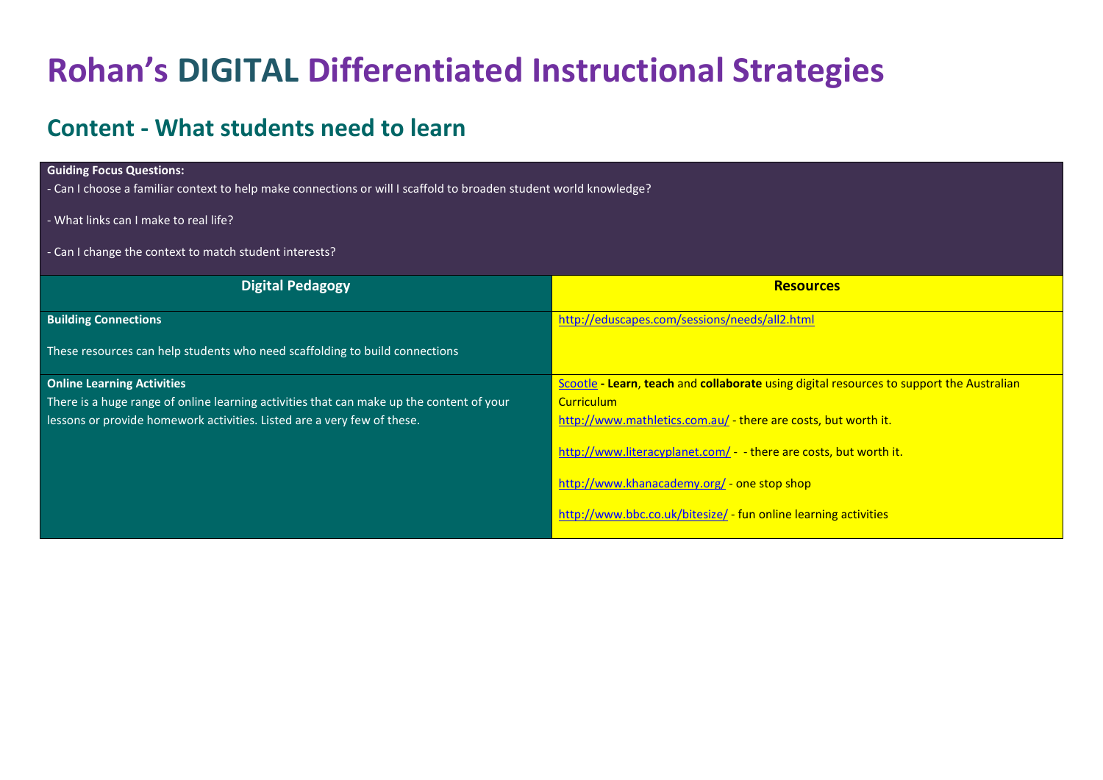# **Rohan's DIGITAL Differentiated Instructional Strategies**

### **Content - What students need to learn**

#### **Guiding Focus Questions:**

- Can I choose a familiar context to help make connections or will I scaffold to broaden student world knowledge?

- What links can I make to real life?
- Can I change the context to match student interests?

| <b>Digital Pedagogy</b>                                                                  | <b>Resources</b>                                                                         |
|------------------------------------------------------------------------------------------|------------------------------------------------------------------------------------------|
| <b>Building Connections</b>                                                              | http://eduscapes.com/sessions/needs/all2.html                                            |
| These resources can help students who need scaffolding to build connections              |                                                                                          |
| <b>Online Learning Activities</b>                                                        | Scootle - Learn, teach and collaborate using digital resources to support the Australian |
| There is a huge range of online learning activities that can make up the content of your | <b>Curriculum</b>                                                                        |
| lessons or provide homework activities. Listed are a very few of these.                  | http://www.mathletics.com.au/ - there are costs, but worth it.                           |
|                                                                                          | http://www.literacyplanet.com/ - - there are costs, but worth it.                        |
|                                                                                          | http://www.khanacademy.org/ - one stop shop                                              |
|                                                                                          | http://www.bbc.co.uk/bitesize/ - fun online learning activities                          |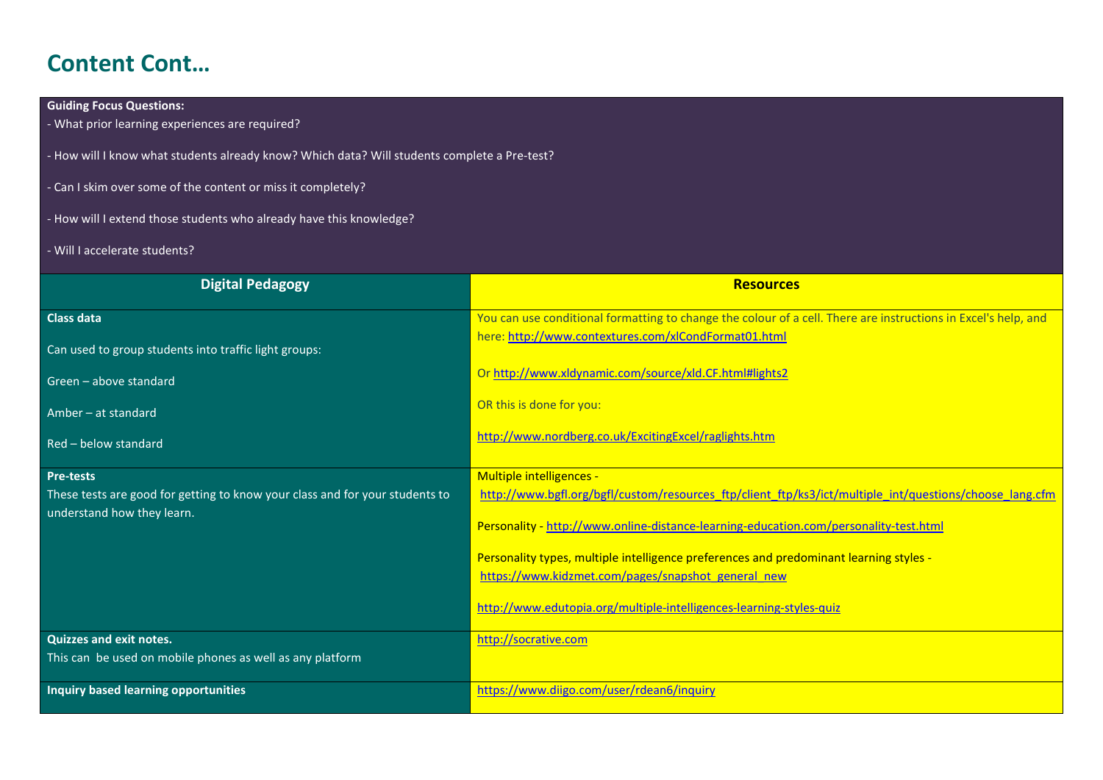# **Content Cont…**

### **Guiding Focus Questions:**

- What prior learning experiences are required?

- How will I know what students already know? Which data? Will students complete a Pre-test?

- Can I skim over some of the content or miss it completely?
- How will I extend those students who already have this knowledge?
- Will I accelerate students?

| <b>Digital Pedagogy</b>                                                      | <b>Resources</b>                                                                                               |
|------------------------------------------------------------------------------|----------------------------------------------------------------------------------------------------------------|
| <b>Class data</b>                                                            | You can use conditional formatting to change the colour of a cell. There are instructions in Excel's help, and |
| Can used to group students into traffic light groups:                        | here: http://www.contextures.com/xlCondFormat01.html                                                           |
| Green - above standard                                                       | Or http://www.xldynamic.com/source/xld.CF.html#lights2                                                         |
| Amber – at standard                                                          | OR this is done for you:                                                                                       |
| Red - below standard                                                         | http://www.nordberg.co.uk/ExcitingExcel/raglights.htm                                                          |
| Pre-tests                                                                    | Multiple intelligences -                                                                                       |
| These tests are good for getting to know your class and for your students to | http://www.bgfl.org/bgfl/custom/resources_ftp/client_ftp/ks3/ict/multiple_int/questions/choose_lang.cfm        |
| understand how they learn.                                                   | Personality - http://www.online-distance-learning-education.com/personality-test.html                          |
|                                                                              | Personality types, multiple intelligence preferences and predominant learning styles -                         |
|                                                                              | https://www.kidzmet.com/pages/snapshot_general_new                                                             |
|                                                                              | http://www.edutopia.org/multiple-intelligences-learning-styles-quiz                                            |
| <b>Quizzes and exit notes.</b>                                               | http://socrative.com                                                                                           |
| This can be used on mobile phones as well as any platform                    |                                                                                                                |
| Inquiry based learning opportunities                                         | https://www.diigo.com/user/rdean6/inquiry                                                                      |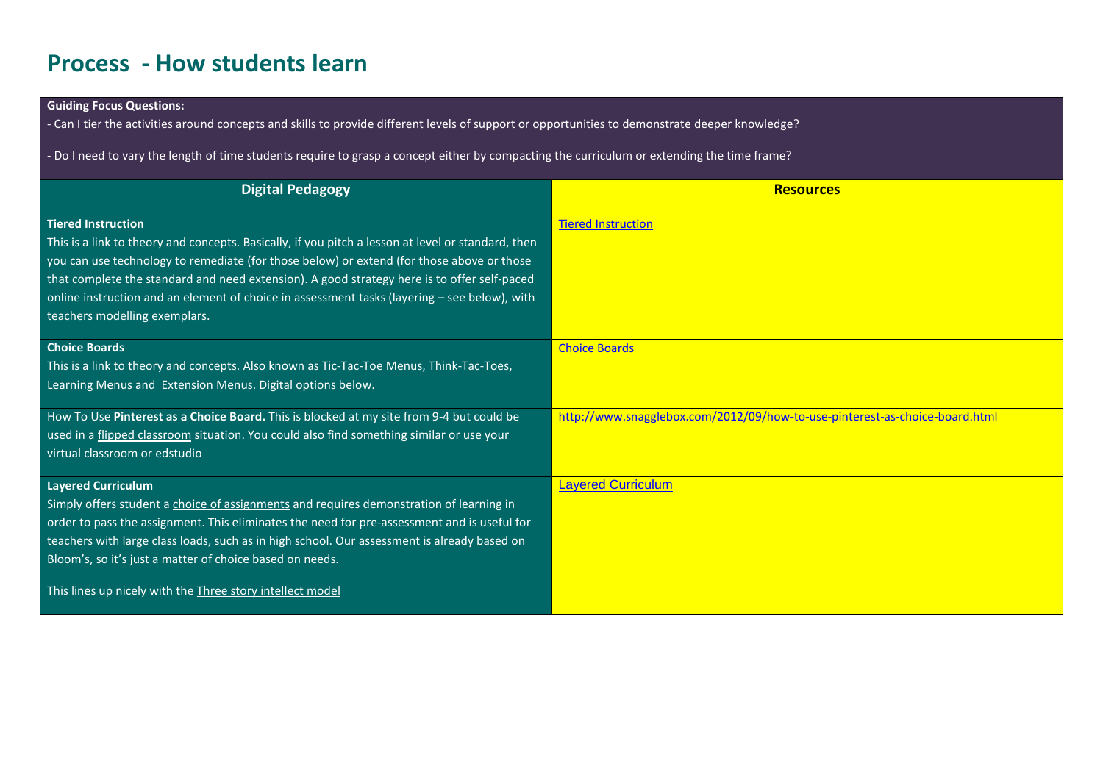# **Process - How students learn**

### **Guiding Focus Questions:**

- Can I tier the activities around concepts and skills to provide different levels of support or opportunities to demonstrate deeper knowledge?

- Do I need to vary the length of time students require to grasp a concept either by compacting the curriculum or extending the time frame?

| <b>Digital Pedagogy</b>                                                                                                                                                                                                                                                                                                                                                                                                                                      | <b>Resources</b>                                                            |
|--------------------------------------------------------------------------------------------------------------------------------------------------------------------------------------------------------------------------------------------------------------------------------------------------------------------------------------------------------------------------------------------------------------------------------------------------------------|-----------------------------------------------------------------------------|
| <b>Tiered Instruction</b><br>This is a link to theory and concepts. Basically, if you pitch a lesson at level or standard, then<br>you can use technology to remediate (for those below) or extend (for those above or those<br>that complete the standard and need extension). A good strategy here is to offer self-paced<br>online instruction and an element of choice in assessment tasks (layering - see below), with<br>teachers modelling exemplars. | <b>Tiered Instruction</b>                                                   |
| <b>Choice Boards</b><br>This is a link to theory and concepts. Also known as Tic-Tac-Toe Menus, Think-Tac-Toes,<br>Learning Menus and Extension Menus. Digital options below.                                                                                                                                                                                                                                                                                | <b>Choice Boards</b>                                                        |
| How To Use Pinterest as a Choice Board. This is blocked at my site from 9-4 but could be<br>used in a flipped classroom situation. You could also find something similar or use your<br>virtual classroom or edstudio                                                                                                                                                                                                                                        | http://www.snagglebox.com/2012/09/how-to-use-pinterest-as-choice-board.html |
| <b>Layered Curriculum</b><br>Simply offers student a choice of assignments and requires demonstration of learning in<br>order to pass the assignment. This eliminates the need for pre-assessment and is useful for<br>teachers with large class loads, such as in high school. Our assessment is already based on<br>Bloom's, so it's just a matter of choice based on needs.                                                                               | <b>Layered Curriculum</b>                                                   |
| This lines up nicely with the Three story intellect model                                                                                                                                                                                                                                                                                                                                                                                                    |                                                                             |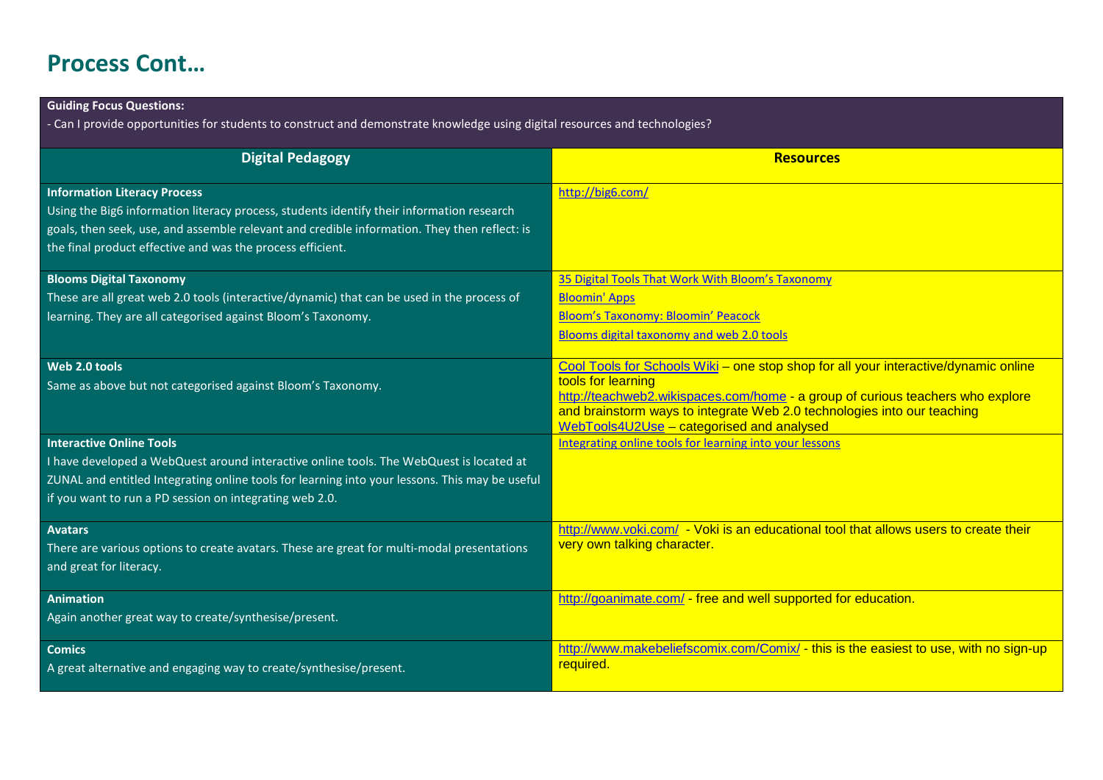# **Process Cont…**

### **Guiding Focus Questions:**

- Can I provide opportunities for students to construct and demonstrate knowledge using digital resources and technologies?

| <b>Digital Pedagogy</b>                                                                        | <b>Resources</b>                                                                                     |
|------------------------------------------------------------------------------------------------|------------------------------------------------------------------------------------------------------|
|                                                                                                |                                                                                                      |
| <b>Information Literacy Process</b>                                                            | http://big6.com/                                                                                     |
| Using the Big6 information literacy process, students identify their information research      |                                                                                                      |
| goals, then seek, use, and assemble relevant and credible information. They then reflect: is   |                                                                                                      |
| the final product effective and was the process efficient.                                     |                                                                                                      |
| <b>Blooms Digital Taxonomy</b>                                                                 | 35 Digital Tools That Work With Bloom's Taxonomy                                                     |
| These are all great web 2.0 tools (interactive/dynamic) that can be used in the process of     | <b>Bloomin' Apps</b>                                                                                 |
| learning. They are all categorised against Bloom's Taxonomy.                                   | <b>Bloom's Taxonomy: Bloomin' Peacock</b>                                                            |
|                                                                                                | Blooms digital taxonomy and web 2.0 tools                                                            |
| Web 2.0 tools                                                                                  | Cool Tools for Schools Wiki - one stop shop for all your interactive/dynamic online                  |
| Same as above but not categorised against Bloom's Taxonomy.                                    | tools for learning                                                                                   |
|                                                                                                | http://teachweb2.wikispaces.com/home - a group of curious teachers who explore                       |
|                                                                                                | and brainstorm ways to integrate Web 2.0 technologies into our teaching                              |
| <b>Interactive Online Tools</b>                                                                | WebTools4U2Use - categorised and analysed<br>Integrating online tools for learning into your lessons |
|                                                                                                |                                                                                                      |
| I have developed a WebQuest around interactive online tools. The WebQuest is located at        |                                                                                                      |
| ZUNAL and entitled Integrating online tools for learning into your lessons. This may be useful |                                                                                                      |
| if you want to run a PD session on integrating web 2.0.                                        |                                                                                                      |
| <b>Avatars</b>                                                                                 | http://www.voki.com/ - Voki is an educational tool that allows users to create their                 |
| There are various options to create avatars. These are great for multi-modal presentations     | very own talking character.                                                                          |
| and great for literacy.                                                                        |                                                                                                      |
|                                                                                                |                                                                                                      |
| <b>Animation</b>                                                                               | http://goanimate.com/ - free and well supported for education.                                       |
| Again another great way to create/synthesise/present.                                          |                                                                                                      |
| <b>Comics</b>                                                                                  | http://www.makebeliefscomix.com/Comix/ - this is the easiest to use, with no sign-up                 |
| A great alternative and engaging way to create/synthesise/present.                             | required.                                                                                            |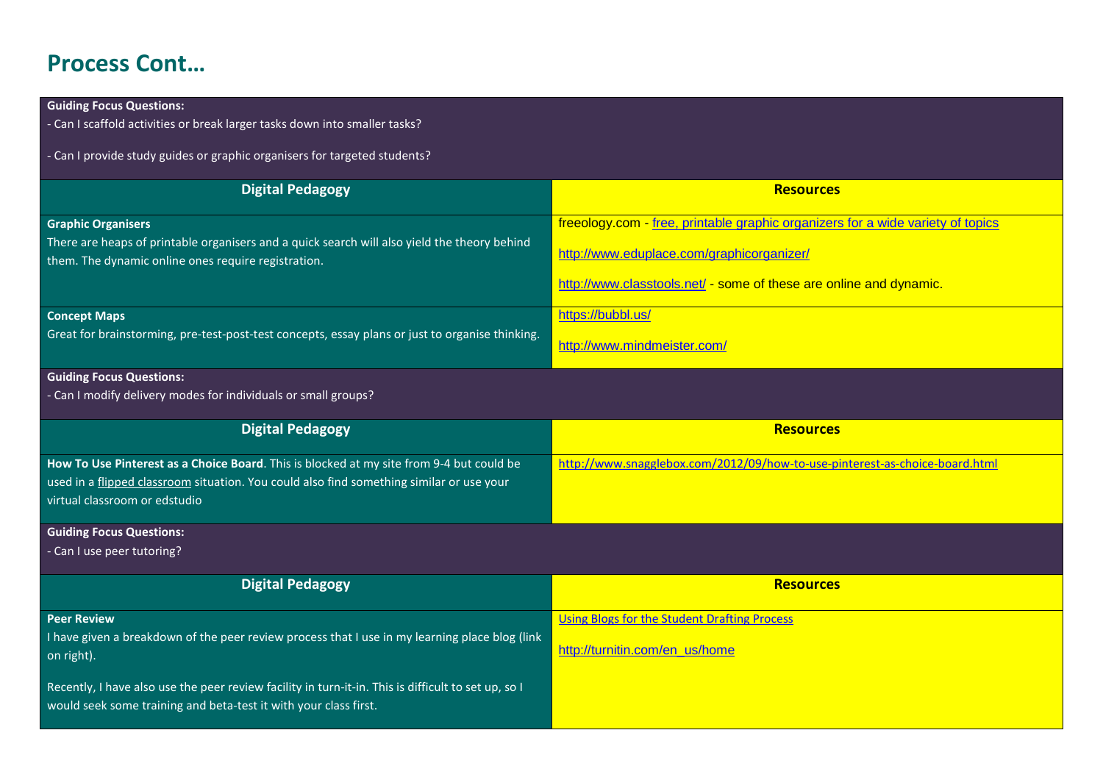# **Process Cont…**

| <b>Guiding Focus Questions:</b>                                                                                                                                         |                                                                                 |
|-------------------------------------------------------------------------------------------------------------------------------------------------------------------------|---------------------------------------------------------------------------------|
| - Can I scaffold activities or break larger tasks down into smaller tasks?                                                                                              |                                                                                 |
| - Can I provide study guides or graphic organisers for targeted students?                                                                                               |                                                                                 |
|                                                                                                                                                                         |                                                                                 |
| <b>Digital Pedagogy</b>                                                                                                                                                 | <b>Resources</b>                                                                |
|                                                                                                                                                                         |                                                                                 |
| <b>Graphic Organisers</b>                                                                                                                                               | freeology.com - free, printable graphic organizers for a wide variety of topics |
| There are heaps of printable organisers and a quick search will also yield the theory behind                                                                            | http://www.eduplace.com/graphicorganizer/                                       |
| them. The dynamic online ones require registration.                                                                                                                     |                                                                                 |
|                                                                                                                                                                         | http://www.classtools.net/ - some of these are online and dynamic.              |
| <b>Concept Maps</b>                                                                                                                                                     | https://bubbl.us/                                                               |
| Great for brainstorming, pre-test-post-test concepts, essay plans or just to organise thinking.                                                                         |                                                                                 |
|                                                                                                                                                                         | http://www.mindmeister.com/                                                     |
| <b>Guiding Focus Questions:</b>                                                                                                                                         |                                                                                 |
| - Can I modify delivery modes for individuals or small groups?                                                                                                          |                                                                                 |
|                                                                                                                                                                         |                                                                                 |
| <b>Digital Pedagogy</b>                                                                                                                                                 | <b>Resources</b>                                                                |
| How To Use Pinterest as a Choice Board. This is blocked at my site from 9-4 but could be                                                                                | http://www.snagglebox.com/2012/09/how-to-use-pinterest-as-choice-board.html     |
| used in a flipped classroom situation. You could also find something similar or use your                                                                                |                                                                                 |
| virtual classroom or edstudio                                                                                                                                           |                                                                                 |
| <b>Guiding Focus Questions:</b>                                                                                                                                         |                                                                                 |
| - Can I use peer tutoring?                                                                                                                                              |                                                                                 |
|                                                                                                                                                                         |                                                                                 |
| <b>Digital Pedagogy</b>                                                                                                                                                 | <b>Resources</b>                                                                |
| <b>Peer Review</b>                                                                                                                                                      | <b>Using Blogs for the Student Drafting Process</b>                             |
| I have given a breakdown of the peer review process that I use in my learning place blog (link                                                                          |                                                                                 |
| on right).                                                                                                                                                              | http://turnitin.com/en_us/home                                                  |
|                                                                                                                                                                         |                                                                                 |
| Recently, I have also use the peer review facility in turn-it-in. This is difficult to set up, so I<br>would seek some training and beta-test it with your class first. |                                                                                 |
|                                                                                                                                                                         |                                                                                 |
|                                                                                                                                                                         |                                                                                 |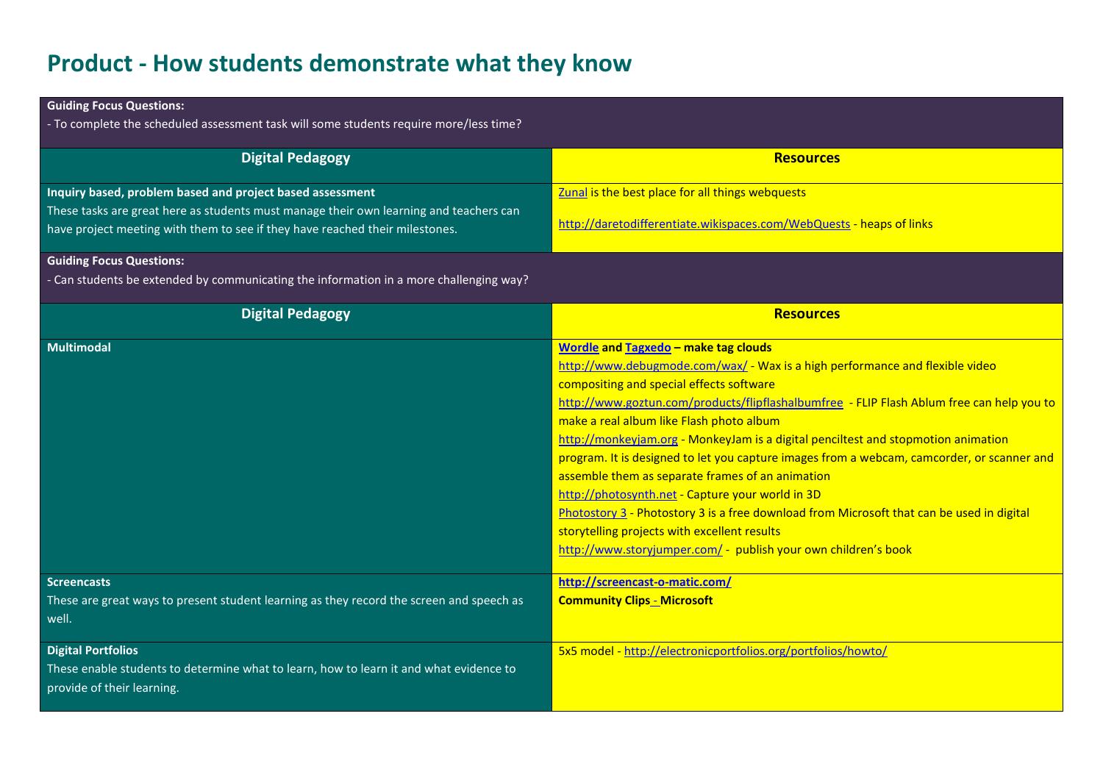# **Product - How students demonstrate what they know**

| <b>Guiding Focus Questions:</b>                                                          |                                                                                            |
|------------------------------------------------------------------------------------------|--------------------------------------------------------------------------------------------|
| - To complete the scheduled assessment task will some students require more/less time?   |                                                                                            |
| <b>Digital Pedagogy</b>                                                                  | <b>Resources</b>                                                                           |
|                                                                                          |                                                                                            |
| Inquiry based, problem based and project based assessment                                | Zunal is the best place for all things webquests                                           |
| These tasks are great here as students must manage their own learning and teachers can   |                                                                                            |
| have project meeting with them to see if they have reached their milestones.             | http://daretodifferentiate.wikispaces.com/WebQuests - heaps of links                       |
| <b>Guiding Focus Questions:</b>                                                          |                                                                                            |
| - Can students be extended by communicating the information in a more challenging way?   |                                                                                            |
| <b>Digital Pedagogy</b>                                                                  | <b>Resources</b>                                                                           |
|                                                                                          |                                                                                            |
| <b>Multimodal</b>                                                                        | <b>Wordle and Tagxedo - make tag clouds</b>                                                |
|                                                                                          | http://www.debugmode.com/wax/ - Wax is a high performance and flexible video               |
|                                                                                          | compositing and special effects software                                                   |
|                                                                                          | http://www.goztun.com/products/flipflashalbumfree - FLIP Flash Ablum free can help you to  |
|                                                                                          | make a real album like Flash photo album                                                   |
|                                                                                          | http://monkeyjam.org - MonkeyJam is a digital penciltest and stopmotion animation          |
|                                                                                          | program. It is designed to let you capture images from a webcam, camcorder, or scanner and |
|                                                                                          | assemble them as separate frames of an animation                                           |
|                                                                                          | http://photosynth.net - Capture your world in 3D                                           |
|                                                                                          | Photostory 3 - Photostory 3 is a free download from Microsoft that can be used in digital  |
|                                                                                          | storytelling projects with excellent results                                               |
|                                                                                          | http://www.storyjumper.com/ - publish your own children's book                             |
| <b>Screencasts</b>                                                                       | http://screencast-o-matic.com/                                                             |
| These are great ways to present student learning as they record the screen and speech as | <b>Community Clips - Microsoft</b>                                                         |
| well.                                                                                    |                                                                                            |
| <b>Digital Portfolios</b>                                                                | 5x5 model - http://electronicportfolios.org/portfolios/howto/                              |
| These enable students to determine what to learn, how to learn it and what evidence to   |                                                                                            |
| provide of their learning.                                                               |                                                                                            |
|                                                                                          |                                                                                            |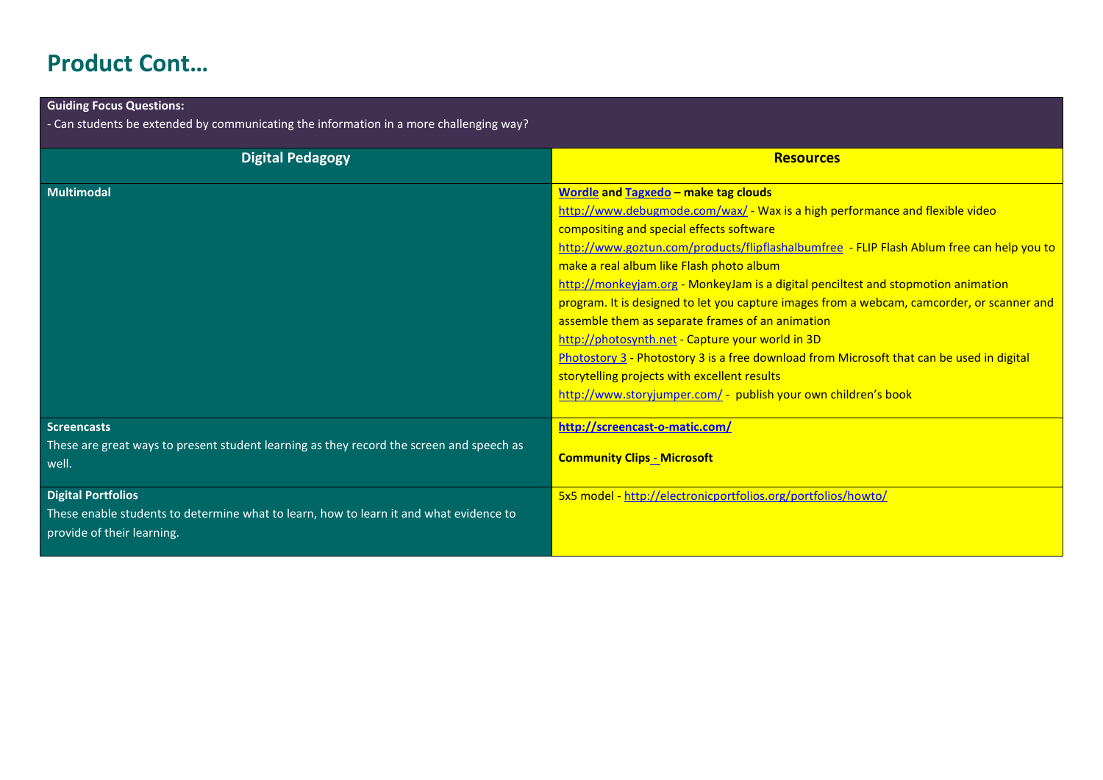# **Product Cont…**

| <b>Guiding Focus Questions:</b>                                                                                                                   |                                                                                                                                                                                                                                                                                                                                                                                                                                                                                                                                                                                                                                                                                                                                                                                                                            |
|---------------------------------------------------------------------------------------------------------------------------------------------------|----------------------------------------------------------------------------------------------------------------------------------------------------------------------------------------------------------------------------------------------------------------------------------------------------------------------------------------------------------------------------------------------------------------------------------------------------------------------------------------------------------------------------------------------------------------------------------------------------------------------------------------------------------------------------------------------------------------------------------------------------------------------------------------------------------------------------|
| - Can students be extended by communicating the information in a more challenging way?                                                            |                                                                                                                                                                                                                                                                                                                                                                                                                                                                                                                                                                                                                                                                                                                                                                                                                            |
| <b>Digital Pedagogy</b>                                                                                                                           | <b>Resources</b>                                                                                                                                                                                                                                                                                                                                                                                                                                                                                                                                                                                                                                                                                                                                                                                                           |
| <b>Multimodal</b>                                                                                                                                 | <b>Wordle and Tagxedo - make tag clouds</b><br>http://www.debugmode.com/wax/ - Wax is a high performance and flexible video<br>compositing and special effects software<br>http://www.goztun.com/products/flipflashalbumfree - FLIP Flash Ablum free can help you to<br>make a real album like Flash photo album<br>http://monkeyjam.org - MonkeyJam is a digital penciltest and stopmotion animation<br>program. It is designed to let you capture images from a webcam, camcorder, or scanner and<br>assemble them as separate frames of an animation<br>http://photosynth.net - Capture your world in 3D<br>Photostory 3 - Photostory 3 is a free download from Microsoft that can be used in digital<br>storytelling projects with excellent results<br>http://www.storyjumper.com/ - publish your own children's book |
| <b>Screencasts</b><br>These are great ways to present student learning as they record the screen and speech as<br>well.                           | http://screencast-o-matic.com/<br><b>Community Clips - Microsoft</b>                                                                                                                                                                                                                                                                                                                                                                                                                                                                                                                                                                                                                                                                                                                                                       |
| <b>Digital Portfolios</b><br>These enable students to determine what to learn, how to learn it and what evidence to<br>provide of their learning. | 5x5 model - http://electronicportfolios.org/portfolios/howto/                                                                                                                                                                                                                                                                                                                                                                                                                                                                                                                                                                                                                                                                                                                                                              |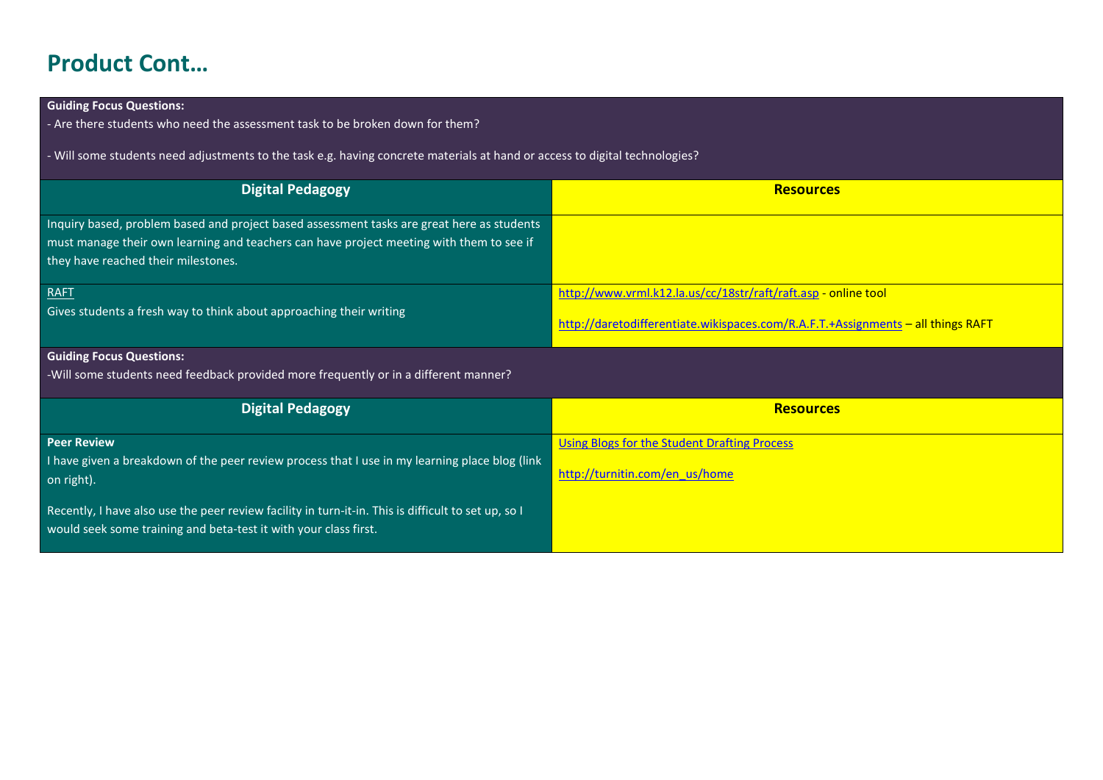# **Product Cont…**

### **Guiding Focus Questions:**

- Are there students who need the assessment task to be broken down for them?

- Will some students need adjustments to the task e.g. having concrete materials at hand or access to digital technologies?

| <b>Digital Pedagogy</b>                                                                    | <b>Resources</b>                                                                 |
|--------------------------------------------------------------------------------------------|----------------------------------------------------------------------------------|
|                                                                                            |                                                                                  |
| Inquiry based, problem based and project based assessment tasks are great here as students |                                                                                  |
| must manage their own learning and teachers can have project meeting with them to see if   |                                                                                  |
| they have reached their milestones.                                                        |                                                                                  |
| <b>RAFT</b>                                                                                | http://www.vrml.k12.la.us/cc/18str/raft/raft.asp - online tool                   |
| Gives students a fresh way to think about approaching their writing                        |                                                                                  |
|                                                                                            | http://daretodifferentiate.wikispaces.com/R.A.F.T.+Assignments - all things RAFT |
|                                                                                            |                                                                                  |

### **Guiding Focus Questions:**

-Will some students need feedback provided more frequently or in a different manner?

| <b>Digital Pedagogy</b>                                                                                                                                                 | <b>Resources</b>                                                               |
|-------------------------------------------------------------------------------------------------------------------------------------------------------------------------|--------------------------------------------------------------------------------|
| <b>Peer Review</b><br>I have given a breakdown of the peer review process that I use in my learning place blog (link<br>on right).                                      | Using Blogs for the Student Drafting Process<br>http://turnitin.com/en_us/home |
| Recently, I have also use the peer review facility in turn-it-in. This is difficult to set up, so I<br>would seek some training and beta-test it with your class first. |                                                                                |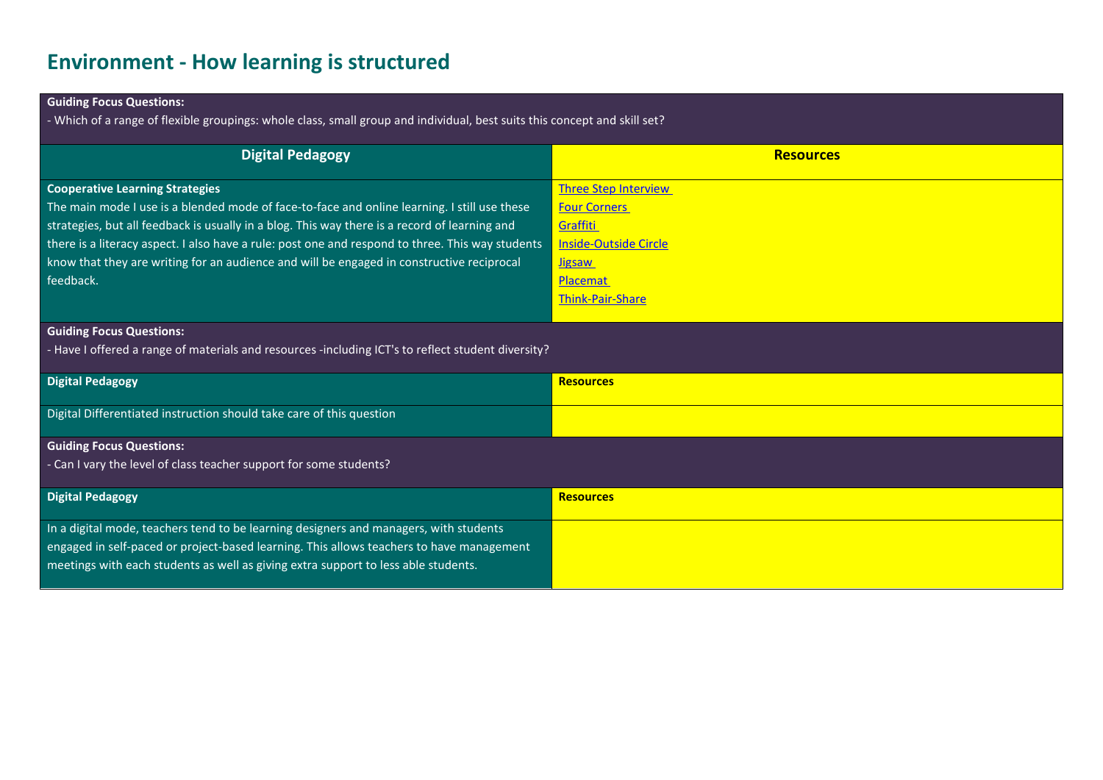### **Environment - How learning is structured**

### **Guiding Focus Questions:**

- Which of a range of flexible groupings: whole class, small group and individual, best suits this concept and skill set?

| <b>Digital Pedagogy</b>                                                                            | <b>Resources</b>             |
|----------------------------------------------------------------------------------------------------|------------------------------|
| <b>Cooperative Learning Strategies</b>                                                             | <b>Three Step Interview</b>  |
| The main mode I use is a blended mode of face-to-face and online learning. I still use these       | <b>Four Corners</b>          |
| strategies, but all feedback is usually in a blog. This way there is a record of learning and      | Graffiti                     |
| there is a literacy aspect. I also have a rule: post one and respond to three. This way students   | <b>Inside-Outside Circle</b> |
| know that they are writing for an audience and will be engaged in constructive reciprocal          | <b>Jigsaw</b>                |
| feedback.                                                                                          | Placemat                     |
|                                                                                                    | <b>Think-Pair-Share</b>      |
|                                                                                                    |                              |
| <b>Guiding Focus Questions:</b>                                                                    |                              |
| - Have I offered a range of materials and resources -including ICT's to reflect student diversity? |                              |
| <b>Digital Pedagogy</b>                                                                            | <b>Resources</b>             |
| Digital Differentiated instruction should take care of this question                               |                              |
| <b>Guiding Focus Questions:</b>                                                                    |                              |
| - Can I vary the level of class teacher support for some students?                                 |                              |
|                                                                                                    |                              |
| <b>Digital Pedagogy</b>                                                                            | <b>Resources</b>             |
| In a digital mode, teachers tend to be learning designers and managers, with students              |                              |
| engaged in self-paced or project-based learning. This allows teachers to have management           |                              |
| meetings with each students as well as giving extra support to less able students.                 |                              |
|                                                                                                    |                              |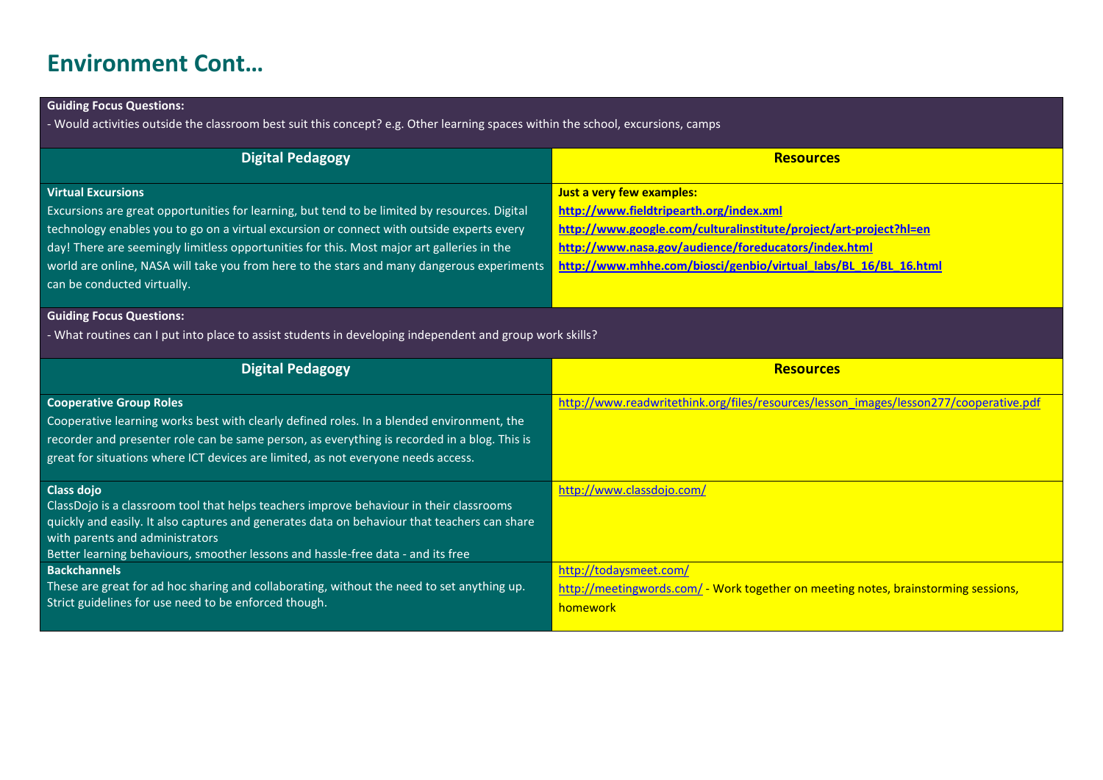# **Environment Cont…**

### **Guiding Focus Questions:**

- Would activities outside the classroom best suit this concept? e.g. Other learning spaces within the school, excursions, camps

| Digital Pedagogy                                                                                         | <b>Resources</b>                                                                      |
|----------------------------------------------------------------------------------------------------------|---------------------------------------------------------------------------------------|
| <b>Virtual Excursions</b>                                                                                | Just a very few examples:                                                             |
| Excursions are great opportunities for learning, but tend to be limited by resources. Digital            | http://www.fieldtripearth.org/index.xml                                               |
| technology enables you to go on a virtual excursion or connect with outside experts every                | http://www.google.com/culturalinstitute/project/art-project?hl=en                     |
| day! There are seemingly limitless opportunities for this. Most major art galleries in the               | http://www.nasa.gov/audience/foreducators/index.html                                  |
| world are online, NASA will take you from here to the stars and many dangerous experiments               | http://www.mhhe.com/biosci/genbio/virtual labs/BL 16/BL 16.html                       |
| can be conducted virtually.                                                                              |                                                                                       |
| <b>Guiding Focus Questions:</b>                                                                          |                                                                                       |
| - What routines can I put into place to assist students in developing independent and group work skills? |                                                                                       |
| <b>Digital Pedagogy</b>                                                                                  | <b>Resources</b>                                                                      |
| <b>Cooperative Group Roles</b>                                                                           | http://www.readwritethink.org/files/resources/lesson_images/lesson277/cooperative.pdf |
| Cooperative learning works best with clearly defined roles. In a blended environment, the                |                                                                                       |

Cooperative learning works best with clearly defined roles. In a blended environment, the recorder and presenter role can be same person, as everything is recorded in a blog. This is great for situations where ICT devices are limited, as not everyone needs access.

| <b>Class dojo</b>                                                                                | http://www.classdojo.com/                                                          |
|--------------------------------------------------------------------------------------------------|------------------------------------------------------------------------------------|
| ClassDojo is a classroom tool that helps teachers improve behaviour in their classrooms          |                                                                                    |
| , quickly and easily. It also captures and generates data on behaviour that teachers can share b |                                                                                    |
| with parents and administrators                                                                  |                                                                                    |
| Better learning behaviours, smoother lessons and hassle-free data - and its free                 |                                                                                    |
| <b>Backchannels</b>                                                                              | http://todaysmeet.com/                                                             |
| These are great for ad hoc sharing and collaborating, without the need to set anything up.       | http://meetingwords.com/ - Work together on meeting notes, brainstorming sessions, |
| Strict guidelines for use need to be enforced though.                                            | homework                                                                           |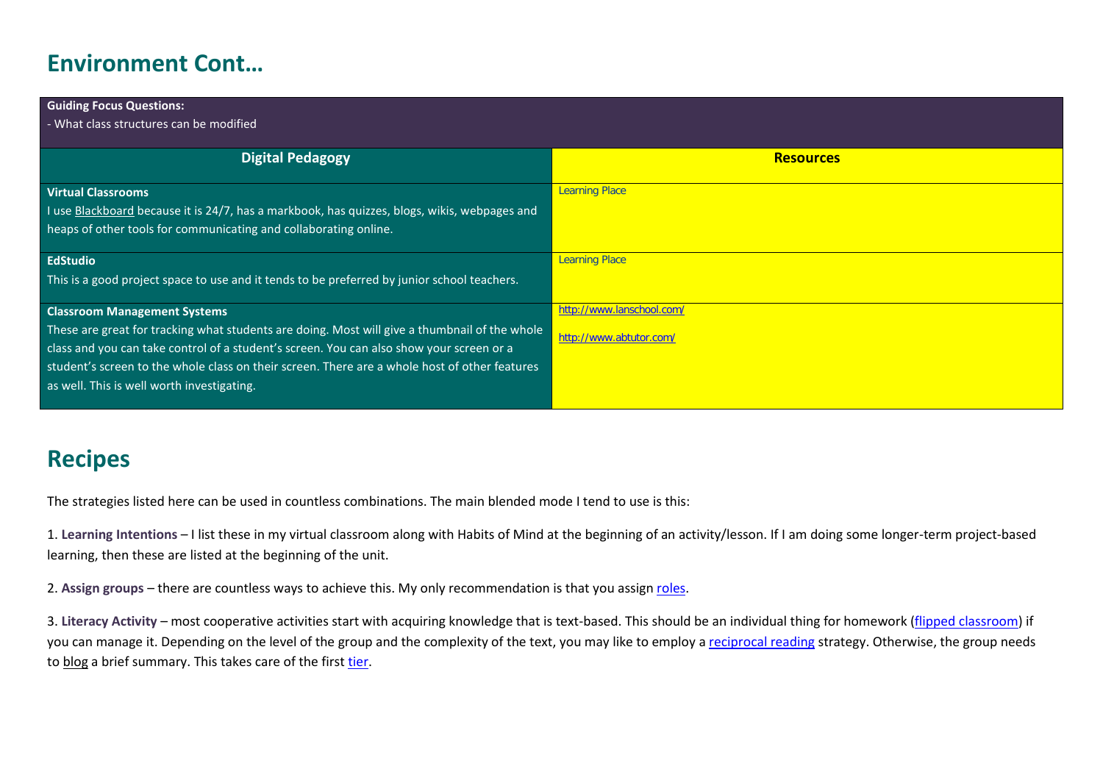# **Environment Cont…**

| <b>Guiding Focus Questions:</b>                                                               |                           |
|-----------------------------------------------------------------------------------------------|---------------------------|
| - What class structures can be modified                                                       |                           |
|                                                                                               |                           |
| <b>Digital Pedagogy</b>                                                                       | <b>Resources</b>          |
|                                                                                               |                           |
| <b>Virtual Classrooms</b>                                                                     | <b>Learning Place</b>     |
| I use Blackboard because it is 24/7, has a markbook, has quizzes, blogs, wikis, webpages and  |                           |
| heaps of other tools for communicating and collaborating online.                              |                           |
|                                                                                               |                           |
| <b>EdStudio</b>                                                                               | <b>Learning Place</b>     |
| This is a good project space to use and it tends to be preferred by junior school teachers.   |                           |
|                                                                                               |                           |
| <b>Classroom Management Systems</b>                                                           | http://www.lanschool.com/ |
| These are great for tracking what students are doing. Most will give a thumbnail of the whole | http://www.abtutor.com/   |
| class and you can take control of a student's screen. You can also show your screen or a      |                           |
| student's screen to the whole class on their screen. There are a whole host of other features |                           |
| as well. This is well worth investigating.                                                    |                           |
|                                                                                               |                           |

# **Recipes**

The strategies listed here can be used in countless combinations. The main blended mode I tend to use is this:

1. **Learning Intentions** – I list these in my virtual classroom along with Habits of Mind at the beginning of an activity/lesson. If I am doing some longer-term project-based learning, then these are listed at the beginning of the unit.

2. **Assign groups** – there are countless ways to achieve this. My only recommendation is that you assign [roles.](http://www.readwritethink.org/files/resources/lesson_images/lesson277/cooperative.pdf)

3. **Literacy Activity** – most cooperative activities start with acquiring knowledge that is text-based. This should be an individual thing for homework [\(flipped classroom\)](https://classroomconnections.eq.edu.au/topics/Pages/2012/november/flipped-classroom.aspx) if you can manage it. Depending on the level of the group and the complexity of the text, you may like to employ a [reciprocal reading](http://www.readingrockets.org/strategies/reciprocal_teaching/) strategy. Otherwise, the group needs to blog a brief summary. This takes care of the firs[t tier.](http://daretodifferentiate.wikispaces.com/Tiering)